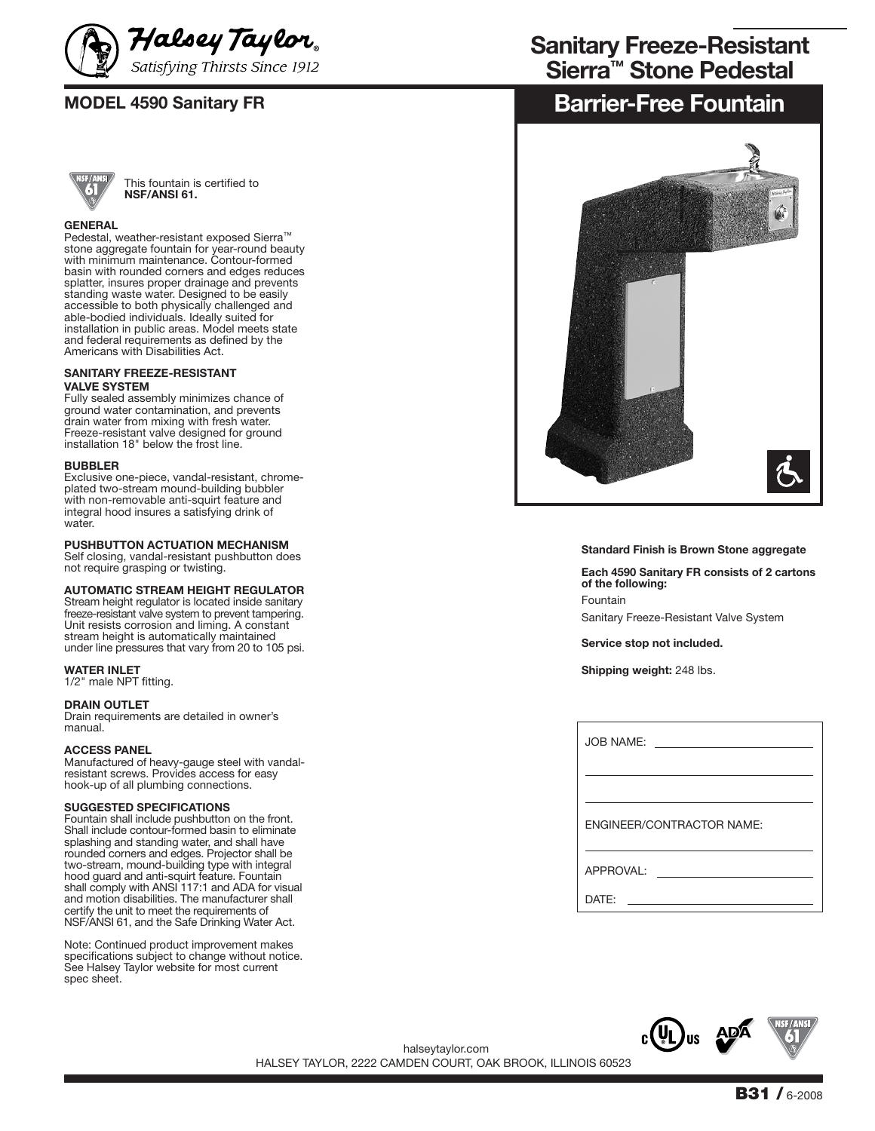



This fountain is certified to **NSF/ANSI 61.**

### **GENERAL**

Pedestal, weather-resistant exposed Sierra™ stone aggregate fountain for year-round beauty with minimum maintenance. Contour-formed basin with rounded corners and edges reduces splatter, insures proper drainage and prevents standing waste water. Designed to be easily accessible to both physically challenged and able-bodied individuals. Ideally suited for installation in public areas. Model meets state and federal requirements as defined by the Americans with Disabilities Act.

#### **SANITARY FREEZE-RESISTANT VALVE SYSTEM**

Fully sealed assembly minimizes chance of ground water contamination, and prevents drain water from mixing with fresh water. Freeze-resistant valve designed for ground installation 18" below the frost line.

#### **BUBBLER**

Exclusive one-piece, vandal-resistant, chromeplated two-stream mound-building bubbler with non-removable anti-squirt feature and integral hood insures a satisfying drink of water.

#### **PUSHBUTTON ACTUATION MECHANISM**

Self closing, vandal-resistant pushbutton does not require grasping or twisting.

#### **AUTOMATIC STREAM HEIGHT REGULATOR**

Stream height regulator is located inside sanitary freeze-resistant valve system to prevent tampering. Unit resists corrosion and liming. A constant stream height is automatically maintained under line pressures that vary from 20 to 105 psi.

#### **WATER INLET**

1/2" male NPT fitting.

#### **DRAIN OUTLET**

Drain requirements are detailed in owner's manual.

#### **ACCESS PANEL**

Manufactured of heavy-gauge steel with vandalresistant screws. Provides access for easy hook-up of all plumbing connections.

#### **SUGGESTED SPECIFICATIONS**

Fountain shall include pushbutton on the front. Shall include contour-formed basin to eliminate splashing and standing water, and shall have rounded corners and edges. Projector shall be two-stream, mound-building type with integral hood guard and anti-squirt feature. Fountain shall comply with ANSI 117:1 and ADA for visual and motion disabilities. The manufacturer shall certify the unit to meet the requirements of NSF/ANSI 61, and the Safe Drinking Water Act.

Note: Continued product improvement makes specifications subject to change without notice. See Halsey Taylor website for most current spec sheet.

# **Sierra™ Stone Pedestal Sanitary Freeze-Resistant**

# **MODEL 4590 Sanitary FR BALL 2009 SANITAL EXAMPLE 10 BARRIER-Free Fountain**



**Standard Finish is Brown Stone aggregate**

**Each 4590 Sanitary FR consists of 2 cartons of the following:** Fountain Sanitary Freeze-Resistant Valve System

**Service stop not included.**

**Shipping weight:** 248 lbs.

| JOB NAME: <u>_________________</u> |
|------------------------------------|
|                                    |
| ENGINEER/CONTRACTOR NAME:          |
| APPROVAL:                          |
| DATF:                              |



HALSEY TAYLOR, 2222 CAMDEN COURT, OAK BROOK, ILLINOIS 60523 halseytaylor.com